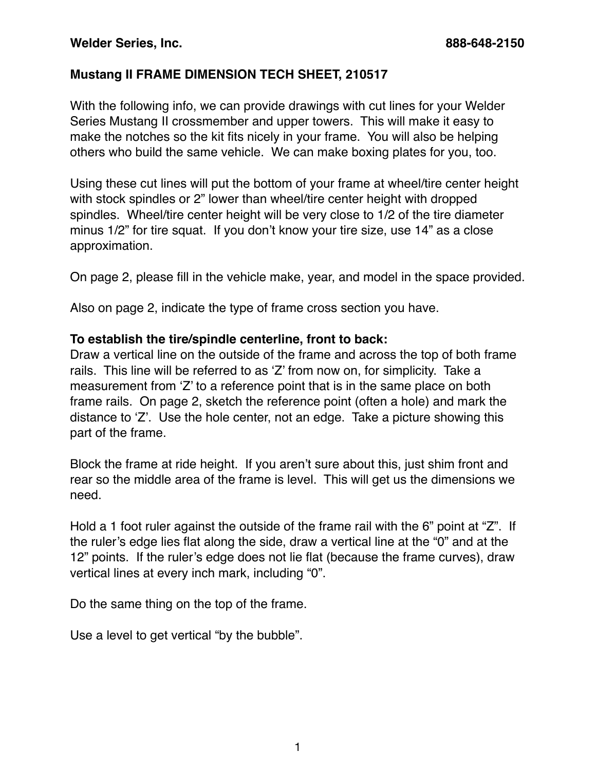## **Mustang II FRAME DIMENSION TECH SHEET, 210517**

With the following info, we can provide drawings with cut lines for your Welder Series Mustang II crossmember and upper towers. This will make it easy to make the notches so the kit fits nicely in your frame. You will also be helping others who build the same vehicle. We can make boxing plates for you, too.

Using these cut lines will put the bottom of your frame at wheel/tire center height with stock spindles or 2" lower than wheel/tire center height with dropped spindles. Wheel/tire center height will be very close to 1/2 of the tire diameter minus 1/2" for tire squat. If you don't know your tire size, use 14" as a close approximation.

On page 2, please fill in the vehicle make, year, and model in the space provided.

Also on page 2, indicate the type of frame cross section you have.

## **To establish the tire/spindle centerline, front to back:**

Draw a vertical line on the outside of the frame and across the top of both frame rails. This line will be referred to as 'Z' from now on, for simplicity. Take a measurement from 'Z' to a reference point that is in the same place on both frame rails. On page 2, sketch the reference point (often a hole) and mark the distance to 'Z'. Use the hole center, not an edge. Take a picture showing this part of the frame.

Block the frame at ride height. If you aren't sure about this, just shim front and rear so the middle area of the frame is level. This will get us the dimensions we need.

Hold a 1 foot ruler against the outside of the frame rail with the 6" point at "Z". If the ruler's edge lies flat along the side, draw a vertical line at the "0" and at the 12" points. If the ruler's edge does not lie flat (because the frame curves), draw vertical lines at every inch mark, including "0".

Do the same thing on the top of the frame.

Use a level to get vertical "by the bubble".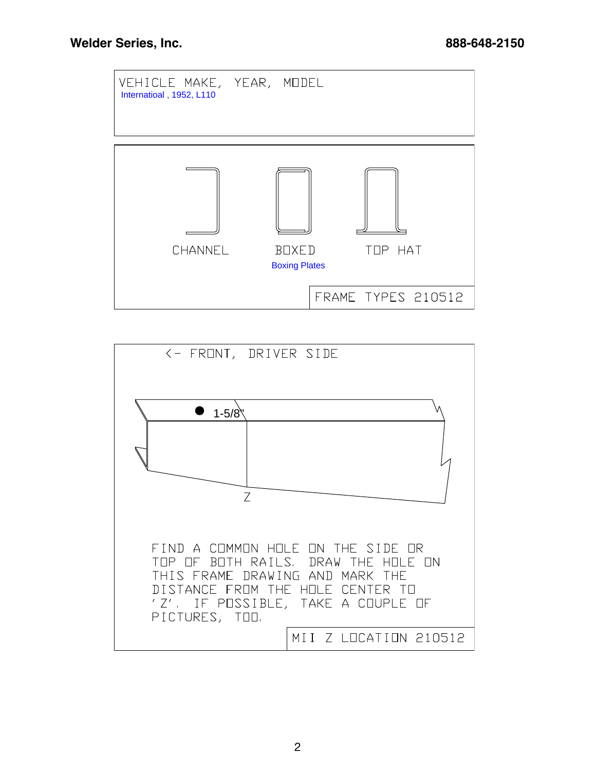

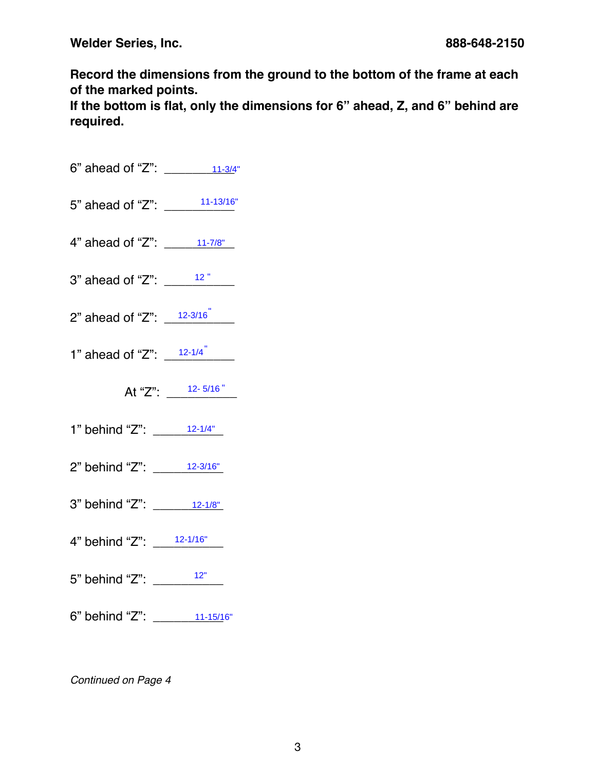**Welder Series, Inc. 888-648-2150**

**Record the dimensions from the ground to the bottom of the frame at each of the marked points.** 

**If the bottom is flat, only the dimensions for 6" ahead, Z, and 6" behind are required.**

- 6" ahead of "Z":  $\frac{11-3}{4}$ "
- 5" ahead of "Z": \_\_\_\_\_\_\_\_\_\_ 11-13/16" 11-3/4"
- 4" ahead of "Z":  $11-7/8$ "
- 3" ahead of "Z":  $\frac{12}{\sqrt{25}}$  $\begin{array}{r} \n 11-7/8" \\
\underline{12} \underline{1} \\
\underline{12-3/16} \\
\underline{12-1/4} \\
\underline{12-5/16} \\
\end{array}$
- 2" ahead of "Z":  $\frac{12-3/16}{2}$
- 1" ahead of "Z":  $\frac{12-1/4}{\sqrt{12-1/4}}$ "
	- At "Z":  $\frac{12-5/16}{...}$
- 1" behind "Z": \_\_\_\_\_\_\_\_\_\_ 12-1/4"
- 2" behind "Z": \_\_\_\_\_\_\_\_\_\_ 12-3/16"
- 3" behind "Z": \_\_\_\_\_\_\_\_12-1/8"
- 4" behind "Z": \_\_\_\_\_\_\_\_\_\_ 12-1/16"
- 5" behind "Z": \_\_\_\_\_\_\_\_<sup>\_\_\_\_\_</sup>\_\_
- 6" behind "Z": \_\_\_\_\_\_\_\_11-15/16"

*Continued on Page 4*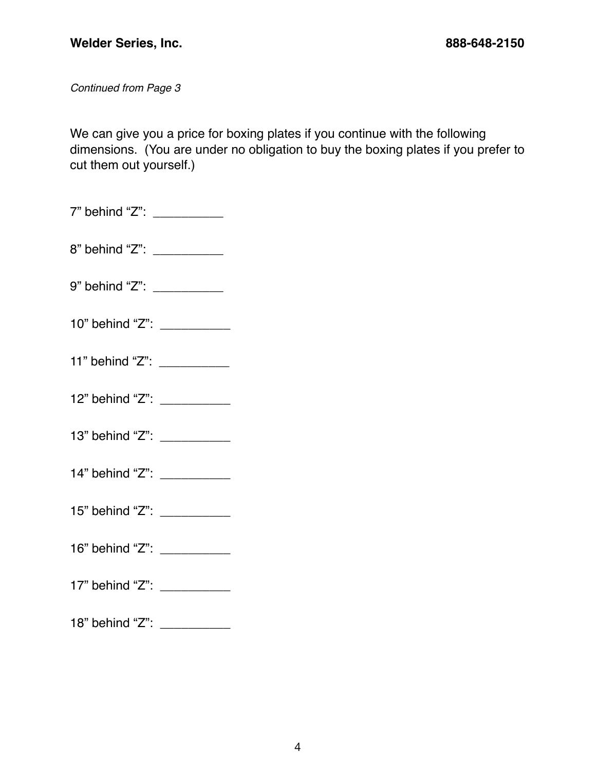*Continued from Page 3*

We can give you a price for boxing plates if you continue with the following dimensions. (You are under no obligation to buy the boxing plates if you prefer to cut them out yourself.)

7" behind "Z": \_\_\_\_\_\_\_\_\_\_\_\_ 8" behind "Z": \_\_\_\_\_\_\_\_\_\_\_\_ 9" behind "Z": \_\_\_\_\_\_\_\_\_\_ 10" behind "Z": \_\_\_\_\_\_\_\_\_\_\_ 11" behind "Z": \_\_\_\_\_\_\_\_\_\_\_ 12" behind "Z": \_\_\_\_\_\_\_\_\_\_\_ 13" behind "Z": \_\_\_\_\_\_\_\_\_\_\_ 14" behind "Z": 15" behind "Z": \_\_\_\_\_\_\_\_\_\_\_ 16" behind "Z": \_\_\_\_\_\_\_\_\_\_\_ 17" behind "Z": \_\_\_\_\_\_\_\_\_\_\_\_ 18" behind "Z": \_\_\_\_\_\_\_\_\_\_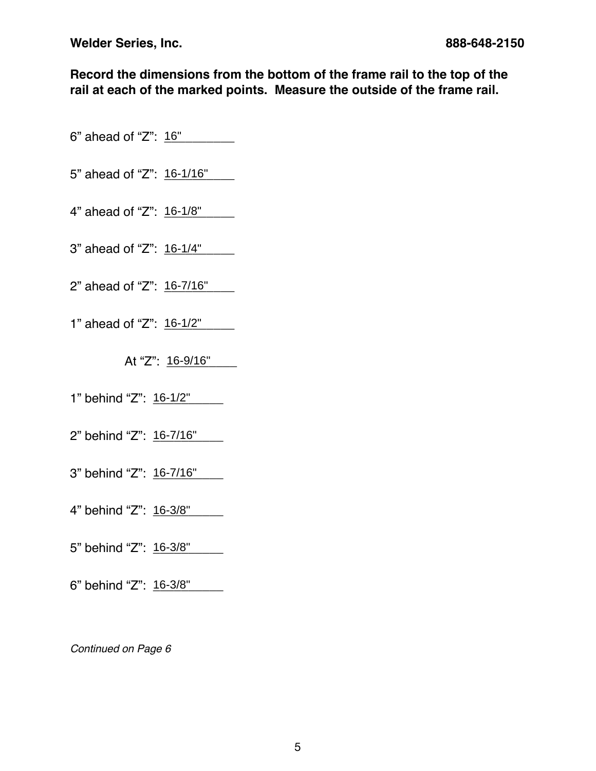**Record the dimensions from the bottom of the frame rail to the top of the rail at each of the marked points. Measure the outside of the frame rail.**

- 6" ahead of "Z": 16" \_\_\_\_\_\_\_
- 5" ahead of "Z": 16-1/16"
- 4" ahead of "Z": 16-1/8" \_\_\_\_\_
- 3" ahead of "Z": 16-1/4"
- 2" ahead of "Z": 16-7/16"
- 1" ahead of "Z": 16-1/2"
	- At "Z": <u>16-9/16" \_\_</u>\_\_
- 1" behind "Z": 16-1/2"
- 2" behind "Z": 16-7/16" \_\_\_\_
- 3" behind "Z": <u>16-7/16" \_</u>\_\_
- 4" behind "Z": 16-3/8" \_\_\_\_\_
- 5" behind "Z": 16-3/8" \_\_\_\_\_
- 6" behind "Z": 16-3/8" \_\_\_\_\_

*Continued on Page 6*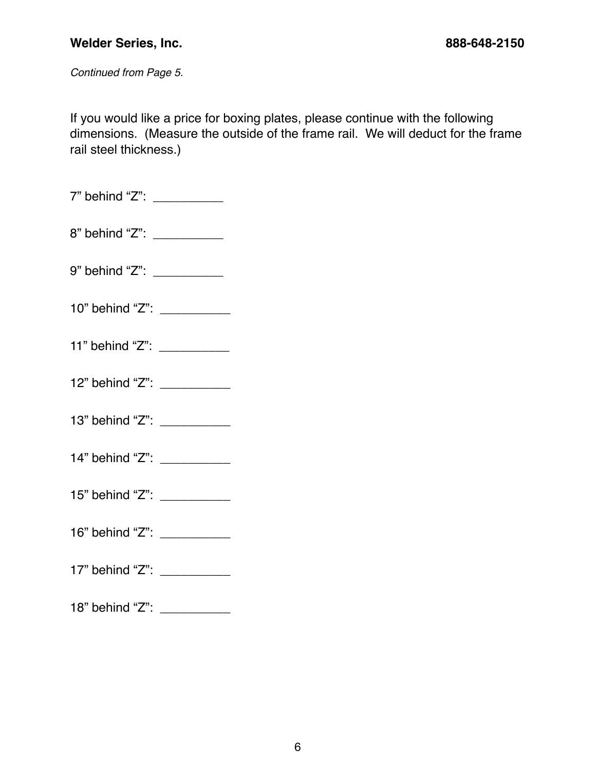*Continued from Page 5.* 

If you would like a price for boxing plates, please continue with the following dimensions. (Measure the outside of the frame rail. We will deduct for the frame rail steel thickness.)

| 7" behind "Z": |  |
|----------------|--|
|                |  |
| 8" behind "Z": |  |

- 9" behind "Z": \_\_\_\_\_\_\_\_\_\_\_\_
- 10" behind "Z":
- 11" behind "Z":
- 12" behind "Z": \_\_\_\_\_\_\_\_\_\_\_
- 13" behind "Z": \_\_\_\_\_\_\_\_\_\_\_\_
- 14" behind "Z": \_\_\_\_\_\_\_\_\_\_\_\_
- 15" behind "Z": \_\_\_\_\_\_\_\_\_\_\_\_
- 16" behind "Z": \_\_\_\_\_\_\_\_\_\_
- 17" behind "Z": \_\_\_\_\_\_\_\_\_\_\_
- 18" behind "Z": \_\_\_\_\_\_\_\_\_\_\_\_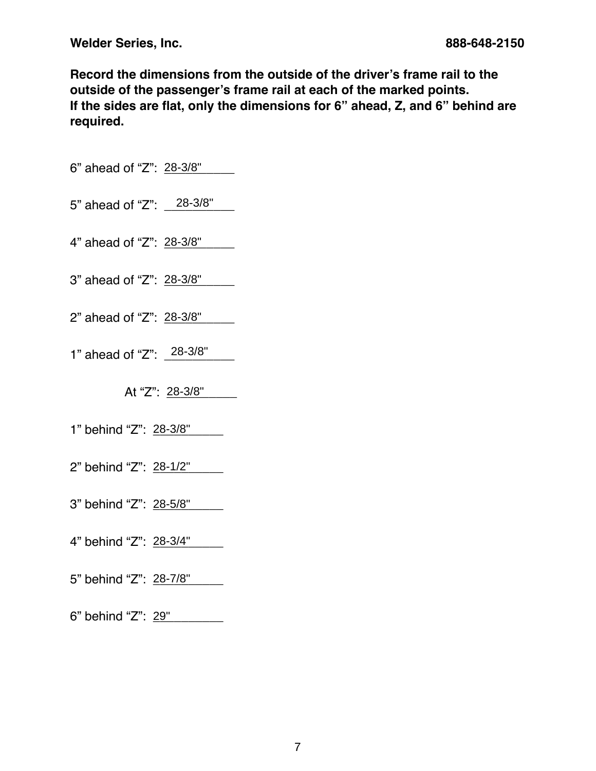**Record the dimensions from the outside of the driver's frame rail to the outside of the passenger's frame rail at each of the marked points. If the sides are flat, only the dimensions for 6" ahead, Z, and 6" behind are required.**

- 6" ahead of "Z": 28-3/8"
- 5" ahead of "Z": \_\_28-3/8"
- 4" ahead of "Z": 28-3/8"
- 3" ahead of "Z": 28-3/8" \_\_\_\_\_
- 2" ahead of "Z": 28-3/8"
- 1" ahead of "Z": 28-3/8"

At "Z": 28-3/8"\_\_\_\_\_\_

- 1" behind "Z": 28-3/8"
- 2" behind "Z": <u>28-1/2" \_\_\_</u>
- 3" behind "Z": <u>28-5/8" \_\_\_</u>\_
- 4" behind "Z": <u>28-3/4" \_\_</u>\_\_
- 5" behind "Z": <u>28-7/8" \_\_</u>\_\_

6" behind "Z": <u>29" \_\_\_\_\_</u>\_